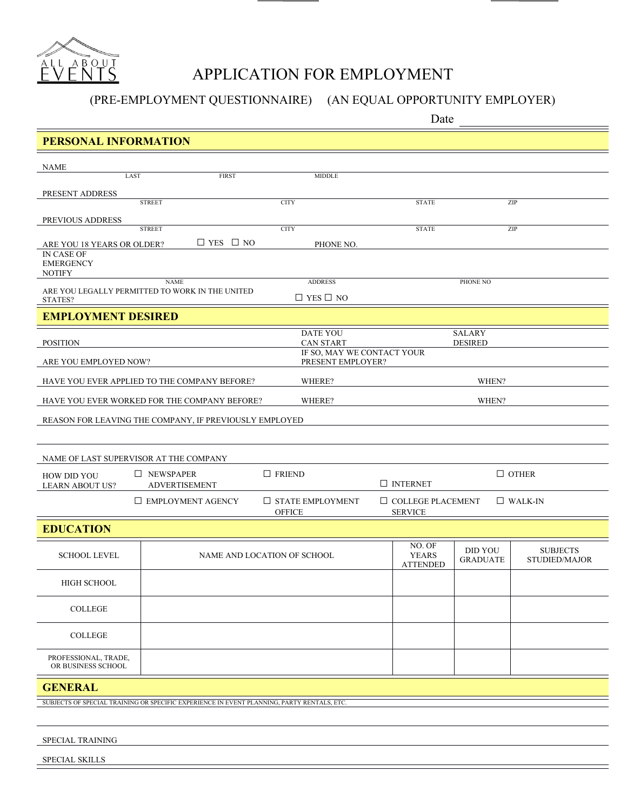

# APPLICATION FOR EMPLOYMENT

(PRE-EMPLOYMENT QUESTIONNAIRE) (AN EQUAL OPPORTUNITY EMPLOYER)

Date

| <b>PERSONAL INFORMATION</b>                     |                                                                                            |                                                 |                                            |                                   |                                  |  |
|-------------------------------------------------|--------------------------------------------------------------------------------------------|-------------------------------------------------|--------------------------------------------|-----------------------------------|----------------------------------|--|
| <b>NAME</b>                                     |                                                                                            |                                                 |                                            |                                   |                                  |  |
| LAST                                            | <b>FIRST</b>                                                                               | MIDDLE                                          |                                            |                                   |                                  |  |
| PRESENT ADDRESS                                 |                                                                                            |                                                 |                                            |                                   |                                  |  |
|                                                 | <b>STREET</b>                                                                              | <b>CITY</b>                                     | <b>STATE</b>                               |                                   | ZIP                              |  |
| PREVIOUS ADDRESS                                | <b>STREET</b>                                                                              | <b>CITY</b>                                     | <b>STATE</b>                               |                                   | ZIP                              |  |
| ARE YOU 18 YEARS OR OLDER?                      | $\Box$ YES $\Box$ NO                                                                       | PHONE NO.                                       |                                            |                                   |                                  |  |
| IN CASE OF<br><b>EMERGENCY</b><br><b>NOTIFY</b> |                                                                                            |                                                 |                                            |                                   |                                  |  |
|                                                 | <b>NAME</b><br>ARE YOU LEGALLY PERMITTED TO WORK IN THE UNITED                             | <b>ADDRESS</b>                                  | PHONE NO                                   |                                   |                                  |  |
| STATES?                                         |                                                                                            | $\Box$ YES $\Box$ NO                            |                                            |                                   |                                  |  |
| <b>EMPLOYMENT DESIRED</b>                       |                                                                                            |                                                 |                                            |                                   |                                  |  |
| <b>POSITION</b>                                 |                                                                                            | <b>DATE YOU</b><br><b>CAN START</b>             | <b>SALARY</b><br><b>DESIRED</b>            |                                   |                                  |  |
| ARE YOU EMPLOYED NOW?                           |                                                                                            | IF SO, MAY WE CONTACT YOUR<br>PRESENT EMPLOYER? |                                            |                                   |                                  |  |
|                                                 | HAVE YOU EVER APPLIED TO THE COMPANY BEFORE?                                               | WHERE?                                          | WHEN?                                      |                                   |                                  |  |
|                                                 | HAVE YOU EVER WORKED FOR THE COMPANY BEFORE?                                               | WHERE?                                          | WHEN?                                      |                                   |                                  |  |
|                                                 | REASON FOR LEAVING THE COMPANY, IF PREVIOUSLY EMPLOYED                                     |                                                 |                                            |                                   |                                  |  |
|                                                 |                                                                                            |                                                 |                                            |                                   |                                  |  |
| NAME OF LAST SUPERVISOR AT THE COMPANY          |                                                                                            |                                                 |                                            |                                   |                                  |  |
|                                                 | $\Box$ NEWSPAPER                                                                           | $\Box$ FRIEND                                   |                                            |                                   | $\Box$ OTHER                     |  |
| <b>HOW DID YOU</b><br><b>LEARN ABOUT US?</b>    | <b>ADVERTISEMENT</b>                                                                       |                                                 | $\Box$ INTERNET                            |                                   |                                  |  |
|                                                 | $\Box$ EMPLOYMENT AGENCY                                                                   | $\Box$ STATE EMPLOYMENT<br><b>OFFICE</b>        | $\Box$ COLLEGE PLACEMENT<br><b>SERVICE</b> |                                   | $\Box$ WALK-IN                   |  |
| <b>EDUCATION</b>                                |                                                                                            |                                                 |                                            |                                   |                                  |  |
|                                                 |                                                                                            |                                                 | NO. OF                                     |                                   |                                  |  |
| <b>SCHOOL LEVEL</b>                             | NAME AND LOCATION OF SCHOOL                                                                |                                                 | <b>YEARS</b><br><b>ATTENDED</b>            | <b>DID YOU</b><br><b>GRADUATE</b> | <b>SUBJECTS</b><br>STUDIED/MAJOR |  |
| <b>HIGH SCHOOL</b>                              |                                                                                            |                                                 |                                            |                                   |                                  |  |
| <b>COLLEGE</b>                                  |                                                                                            |                                                 |                                            |                                   |                                  |  |
| <b>COLLEGE</b>                                  |                                                                                            |                                                 |                                            |                                   |                                  |  |
| PROFESSIONAL, TRADE,<br>OR BUSINESS SCHOOL      |                                                                                            |                                                 |                                            |                                   |                                  |  |
| <b>GENERAL</b>                                  |                                                                                            |                                                 |                                            |                                   |                                  |  |
|                                                 | SUBJECTS OF SPECIAL TRAINING OR SPECIFIC EXPERIENCE IN EVENT PLANNING, PARTY RENTALS, ETC. |                                                 |                                            |                                   |                                  |  |
|                                                 |                                                                                            |                                                 |                                            |                                   |                                  |  |
|                                                 |                                                                                            |                                                 |                                            |                                   |                                  |  |

SPECIAL TRAINING

SPECIAL SKILLS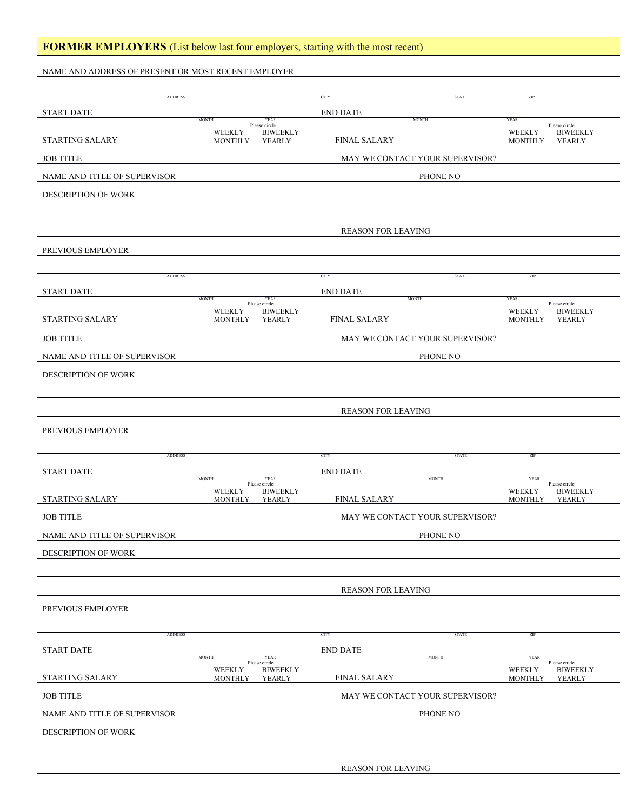### **FORMER EMPLOYERS** (List below last four employers, starting with the most recent)

NAME AND ADDRESS OF PRESENT OR MOST RECENT EMPLOYER

| <b>ADDRESS</b>               |                                                 |                                                           | <b>CITY</b>               | <b>STATE</b>                    | ZIP                                                                                   |  |  |
|------------------------------|-------------------------------------------------|-----------------------------------------------------------|---------------------------|---------------------------------|---------------------------------------------------------------------------------------|--|--|
| <b>START DATE</b>            |                                                 |                                                           | <b>END DATE</b>           |                                 |                                                                                       |  |  |
| <b>STARTING SALARY</b>       | <b>MONTH</b><br><b>WEEKLY</b><br><b>MONTHLY</b> | <b>YEAR</b><br>Please circle<br><b>BIWEEKLY</b><br>YEARLY | <b>FINAL SALARY</b>       | <b>MONTH</b>                    | <b>YEAR</b><br>Please circle<br><b>BIWEEKLY</b><br>WEEKLY<br><b>MONTHLY</b><br>YEARLY |  |  |
| <b>JOB TITLE</b>             |                                                 |                                                           |                           | MAY WE CONTACT YOUR SUPERVISOR? |                                                                                       |  |  |
| NAME AND TITLE OF SUPERVISOR | PHONE NO                                        |                                                           |                           |                                 |                                                                                       |  |  |
| DESCRIPTION OF WORK          |                                                 |                                                           |                           |                                 |                                                                                       |  |  |
|                              |                                                 |                                                           |                           |                                 |                                                                                       |  |  |
|                              |                                                 |                                                           | <b>REASON FOR LEAVING</b> |                                 |                                                                                       |  |  |
| PREVIOUS EMPLOYER            |                                                 |                                                           |                           |                                 |                                                                                       |  |  |
|                              |                                                 |                                                           |                           |                                 |                                                                                       |  |  |
| <b>ADDRESS</b>               |                                                 |                                                           | <b>CITY</b>               | <b>STATE</b>                    | ZIP                                                                                   |  |  |
| <b>START DATE</b>            | <b>MONTH</b><br>Please circle                   | YEAR                                                      | <b>END DATE</b>           | <b>MONTH</b>                    | <b>YEAR</b><br>Please circle                                                          |  |  |
| <b>STARTING SALARY</b>       | WEEKLY<br><b>MONTHLY</b>                        | <b>BIWEEKLY</b><br>YEARLY                                 | <b>FINAL SALARY</b>       |                                 | WEEKLY<br><b>BIWEEKLY</b><br><b>MONTHLY</b><br>YEARLY                                 |  |  |
| <b>JOB TITLE</b>             |                                                 |                                                           |                           | MAY WE CONTACT YOUR SUPERVISOR? |                                                                                       |  |  |
| NAME AND TITLE OF SUPERVISOR |                                                 |                                                           |                           | PHONE NO                        |                                                                                       |  |  |
| DESCRIPTION OF WORK          |                                                 |                                                           |                           |                                 |                                                                                       |  |  |
|                              |                                                 |                                                           |                           |                                 |                                                                                       |  |  |
|                              |                                                 |                                                           | <b>REASON FOR LEAVING</b> |                                 |                                                                                       |  |  |
| PREVIOUS EMPLOYER            |                                                 |                                                           |                           |                                 |                                                                                       |  |  |
|                              |                                                 |                                                           |                           |                                 |                                                                                       |  |  |
| <b>ADDRESS</b>               |                                                 |                                                           | <b>CITY</b>               | <b>STATE</b>                    | ZIP                                                                                   |  |  |
| START DATE                   | <b>MONTH</b>                                    | <b>YEAR</b>                                               | <b>END DATE</b>           | <b>MONTH</b>                    | <b>YEAR</b>                                                                           |  |  |
| STARTING SALARY              | Please circle<br>WEEKLY<br><b>MONTHLY</b>       | <b>BIWEEKLY</b><br>YEARLY                                 | <b>FINAL SALARY</b>       |                                 | Please circle<br><b>BIWEEKLY</b><br>WEEKLY<br><b>MONTHLY</b><br>YEARLY                |  |  |
| <b>JOB TITLE</b>             | MAY WE CONTACT YOUR SUPERVISOR?                 |                                                           |                           |                                 |                                                                                       |  |  |
| NAME AND TITLE OF SUPERVISOR | PHONE NO                                        |                                                           |                           |                                 |                                                                                       |  |  |
| DESCRIPTION OF WORK          |                                                 |                                                           |                           |                                 |                                                                                       |  |  |
|                              |                                                 |                                                           |                           |                                 |                                                                                       |  |  |
|                              |                                                 |                                                           | <b>REASON FOR LEAVING</b> |                                 |                                                                                       |  |  |
| PREVIOUS EMPLOYER            |                                                 |                                                           |                           |                                 |                                                                                       |  |  |
| <b>ADDRESS</b>               |                                                 |                                                           | CITY                      | <b>STATE</b>                    | ZIP                                                                                   |  |  |
| <b>START DATE</b>            |                                                 |                                                           | <b>END DATE</b>           |                                 |                                                                                       |  |  |
|                              | <b>MONTH</b><br>Please circle<br>WEEKLY         | YEAR                                                      |                           | <b>MONTH</b>                    | <b>YEAR</b><br>Please circle                                                          |  |  |
| STARTING SALARY              | <b>MONTHLY</b>                                  | <b>BIWEEKLY</b><br>YEARLY                                 | <b>FINAL SALARY</b>       |                                 | WEEKLY<br><b>BIWEEKLY</b><br><b>MONTHLY</b><br>YEARLY                                 |  |  |
| <b>JOB TITLE</b>             | MAY WE CONTACT YOUR SUPERVISOR?                 |                                                           |                           |                                 |                                                                                       |  |  |
| NAME AND TITLE OF SUPERVISOR | PHONE NO                                        |                                                           |                           |                                 |                                                                                       |  |  |
| DESCRIPTION OF WORK          |                                                 |                                                           |                           |                                 |                                                                                       |  |  |
|                              |                                                 |                                                           |                           |                                 |                                                                                       |  |  |
|                              |                                                 |                                                           | REASON FOR LEAVING        |                                 |                                                                                       |  |  |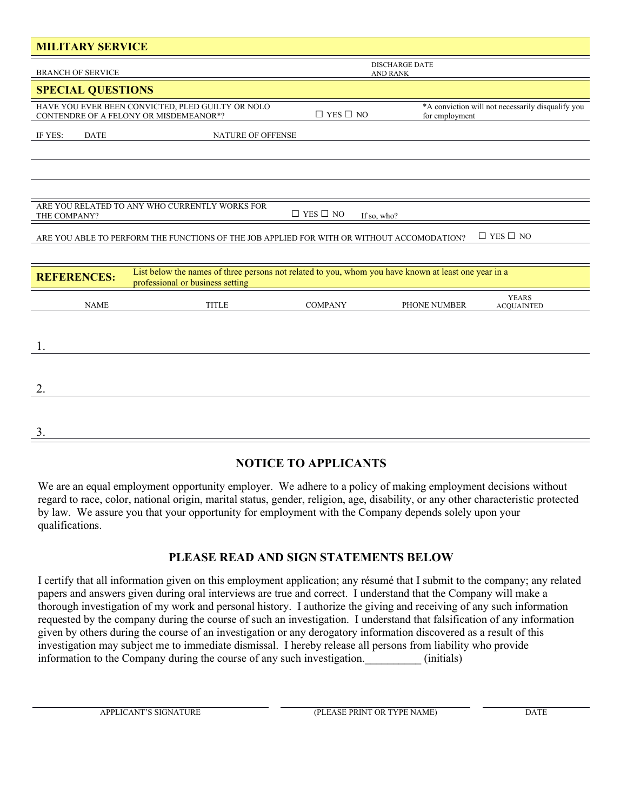| <b>MILITARY SERVICE</b>                                                                                                                                        |                                   |                      |                                                                     |  |  |  |  |
|----------------------------------------------------------------------------------------------------------------------------------------------------------------|-----------------------------------|----------------------|---------------------------------------------------------------------|--|--|--|--|
| <b>BRANCH OF SERVICE</b>                                                                                                                                       | <b>DISCHARGE DATE</b><br>AND RANK |                      |                                                                     |  |  |  |  |
| <b>SPECIAL QUESTIONS</b>                                                                                                                                       |                                   |                      |                                                                     |  |  |  |  |
| HAVE YOU EVER BEEN CONVICTED, PLED GUILTY OR NOLO<br>CONTENDRE OF A FELONY OR MISDEMEANOR*?                                                                    |                                   | $\Box$ YES $\Box$ NO | *A conviction will not necessarily disqualify you<br>for employment |  |  |  |  |
| IF YES:<br><b>DATE</b>                                                                                                                                         | <b>NATURE OF OFFENSE</b>          |                      |                                                                     |  |  |  |  |
|                                                                                                                                                                |                                   |                      |                                                                     |  |  |  |  |
|                                                                                                                                                                |                                   |                      |                                                                     |  |  |  |  |
|                                                                                                                                                                |                                   |                      |                                                                     |  |  |  |  |
| ARE YOU RELATED TO ANY WHO CURRENTLY WORKS FOR<br>$\Box$ YES $\Box$ NO<br>THE COMPANY?<br>If so, who?                                                          |                                   |                      |                                                                     |  |  |  |  |
| $\Box$ YES $\Box$ NO<br>ARE YOU ABLE TO PERFORM THE FUNCTIONS OF THE JOB APPLIED FOR WITH OR WITHOUT ACCOMODATION?                                             |                                   |                      |                                                                     |  |  |  |  |
|                                                                                                                                                                |                                   |                      |                                                                     |  |  |  |  |
| List below the names of three persons not related to you, whom you have known at least one year in a<br><b>REFERENCES:</b><br>professional or business setting |                                   |                      |                                                                     |  |  |  |  |
| <b>NAME</b>                                                                                                                                                    | <b>TITLE</b>                      | <b>COMPANY</b>       | <b>YEARS</b><br>PHONE NUMBER<br><b>ACQUAINTED</b>                   |  |  |  |  |
|                                                                                                                                                                |                                   |                      |                                                                     |  |  |  |  |
| 1.                                                                                                                                                             |                                   |                      |                                                                     |  |  |  |  |
|                                                                                                                                                                |                                   |                      |                                                                     |  |  |  |  |
| 2.                                                                                                                                                             |                                   |                      |                                                                     |  |  |  |  |
|                                                                                                                                                                |                                   |                      |                                                                     |  |  |  |  |
| 3.                                                                                                                                                             |                                   |                      |                                                                     |  |  |  |  |

# **NOTICE TO APPLICANTS**

We are an equal employment opportunity employer. We adhere to a policy of making employment decisions without regard to race, color, national origin, marital status, gender, religion, age, disability, or any other characteristic protected by law. We assure you that your opportunity for employment with the Company depends solely upon your qualifications.

# **PLEASE READ AND SIGN STATEMENTS BELOW**

I certify that all information given on this employment application; any résumé that I submit to the company; any related papers and answers given during oral interviews are true and correct. I understand that the Company will make a thorough investigation of my work and personal history. I authorize the giving and receiving of any such information requested by the company during the course of such an investigation. I understand that falsification of any information given by others during the course of an investigation or any derogatory information discovered as a result of this investigation may subject me to immediate dismissal. I hereby release all persons from liability who provide information to the Company during the course of any such investigation.  $(initials)$